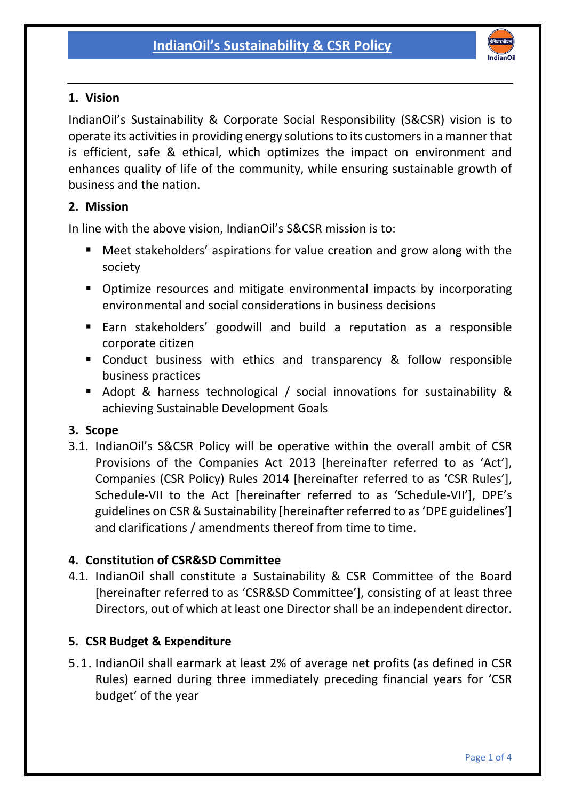

### 1. Vision

IndianOil's Sustainability & Corporate Social Responsibility (S&CSR) vision is to operate its activities in providing energy solutions to its customers in a manner that is efficient, safe & ethical, which optimizes the impact on environment and enhances quality of life of the community, while ensuring sustainable growth of business and the nation.

### 2. Mission

In line with the above vision, IndianOil's S&CSR mission is to:

- Meet stakeholders' aspirations for value creation and grow along with the society
- **•** Optimize resources and mitigate environmental impacts by incorporating environmental and social considerations in business decisions
- Earn stakeholders' goodwill and build a reputation as a responsible corporate citizen
- **EX Conduct business with ethics and transparency & follow responsible** business practices
- Adopt & harness technological / social innovations for sustainability & achieving Sustainable Development Goals

### 3. Scope

3.1. IndianOil's S&CSR Policy will be operative within the overall ambit of CSR Provisions of the Companies Act 2013 [hereinafter referred to as 'Act'], Companies (CSR Policy) Rules 2014 [hereinafter referred to as 'CSR Rules'], Schedule-VII to the Act [hereinafter referred to as 'Schedule-VII'], DPE's guidelines on CSR & Sustainability [hereinafter referred to as 'DPE guidelines'] and clarifications / amendments thereof from time to time.

## 4. Constitution of CSR&SD Committee

4.1. IndianOil shall constitute a Sustainability & CSR Committee of the Board [hereinafter referred to as 'CSR&SD Committee'], consisting of at least three Directors, out of which at least one Director shall be an independent director.

## 5. CSR Budget & Expenditure

5.1. IndianOil shall earmark at least 2% of average net profits (as defined in CSR Rules) earned during three immediately preceding financial years for 'CSR budget' of the year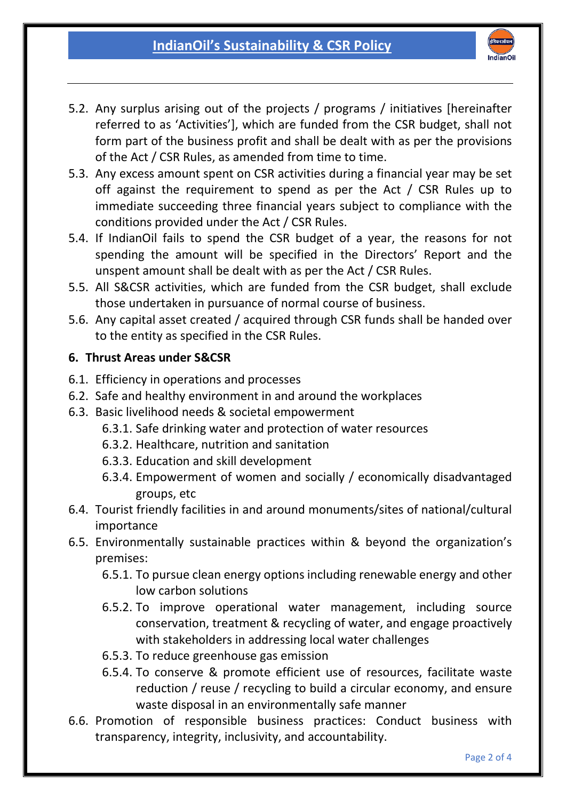

- 5.2. Any surplus arising out of the projects / programs / initiatives [hereinafter referred to as 'Activities'], which are funded from the CSR budget, shall not form part of the business profit and shall be dealt with as per the provisions of the Act / CSR Rules, as amended from time to time.
- 5.3. Any excess amount spent on CSR activities during a financial year may be set off against the requirement to spend as per the Act / CSR Rules up to immediate succeeding three financial years subject to compliance with the conditions provided under the Act / CSR Rules.
- 5.4. If IndianOil fails to spend the CSR budget of a year, the reasons for not spending the amount will be specified in the Directors' Report and the unspent amount shall be dealt with as per the Act / CSR Rules.
- 5.5. All S&CSR activities, which are funded from the CSR budget, shall exclude those undertaken in pursuance of normal course of business.
- 5.6. Any capital asset created / acquired through CSR funds shall be handed over to the entity as specified in the CSR Rules.

# 6. Thrust Areas under S&CSR

- 6.1. Efficiency in operations and processes
- 6.2. Safe and healthy environment in and around the workplaces
- 6.3. Basic livelihood needs & societal empowerment
	- 6.3.1. Safe drinking water and protection of water resources
	- 6.3.2. Healthcare, nutrition and sanitation
	- 6.3.3. Education and skill development
	- 6.3.4. Empowerment of women and socially / economically disadvantaged groups, etc
- 6.4. Tourist friendly facilities in and around monuments/sites of national/cultural importance
- 6.5. Environmentally sustainable practices within & beyond the organization's premises:
	- 6.5.1. To pursue clean energy options including renewable energy and other low carbon solutions
	- 6.5.2. To improve operational water management, including source conservation, treatment & recycling of water, and engage proactively with stakeholders in addressing local water challenges
	- 6.5.3. To reduce greenhouse gas emission
	- 6.5.4. To conserve & promote efficient use of resources, facilitate waste reduction / reuse / recycling to build a circular economy, and ensure waste disposal in an environmentally safe manner
- 6.6. Promotion of responsible business practices: Conduct business with transparency, integrity, inclusivity, and accountability.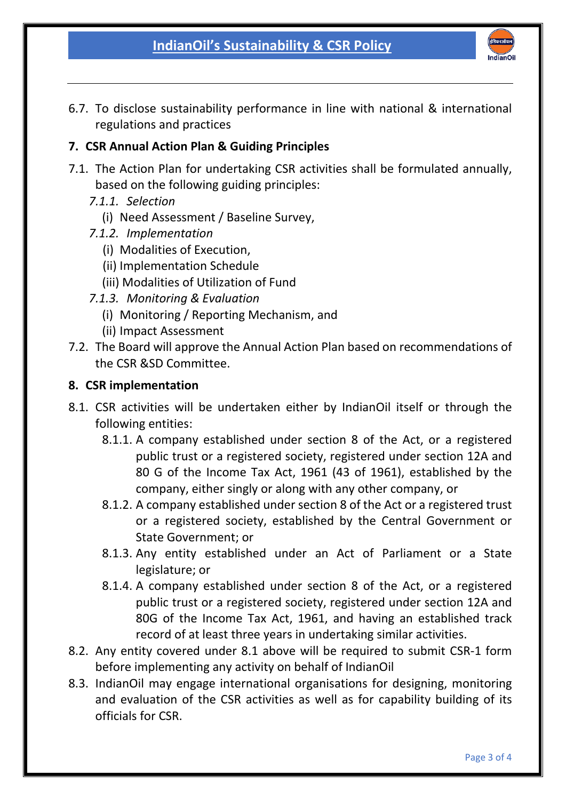

6.7. To disclose sustainability performance in line with national & international regulations and practices

### 7. CSR Annual Action Plan & Guiding Principles

- 7.1. The Action Plan for undertaking CSR activities shall be formulated annually, based on the following guiding principles:
	- *7.1.1. Selection*
		- (i) Need Assessment / Baseline Survey,
	- *7.1.2. Implementation*
		- (i) Modalities of Execution,
		- (ii) Implementation Schedule
		- (iii) Modalities of Utilization of Fund
	- *7.1.3. Monitoring & Evaluation* 
		- (i) Monitoring / Reporting Mechanism, and
		- (ii) Impact Assessment
- 7.2. The Board will approve the Annual Action Plan based on recommendations of the CSR &SD Committee.

#### 8. CSR implementation

- 8.1. CSR activities will be undertaken either by IndianOil itself or through the following entities:
	- 8.1.1. A company established under section 8 of the Act, or a registered public trust or a registered society, registered under section 12A and 80 G of the Income Tax Act, 1961 (43 of 1961), established by the company, either singly or along with any other company, or
	- 8.1.2. A company established under section 8 of the Act or a registered trust or a registered society, established by the Central Government or State Government; or
	- 8.1.3. Any entity established under an Act of Parliament or a State legislature; or
	- 8.1.4. A company established under section 8 of the Act, or a registered public trust or a registered society, registered under section 12A and 80G of the Income Tax Act, 1961, and having an established track record of at least three years in undertaking similar activities.
- 8.2. Any entity covered under 8.1 above will be required to submit CSR-1 form before implementing any activity on behalf of IndianOil
- 8.3. IndianOil may engage international organisations for designing, monitoring and evaluation of the CSR activities as well as for capability building of its officials for CSR.